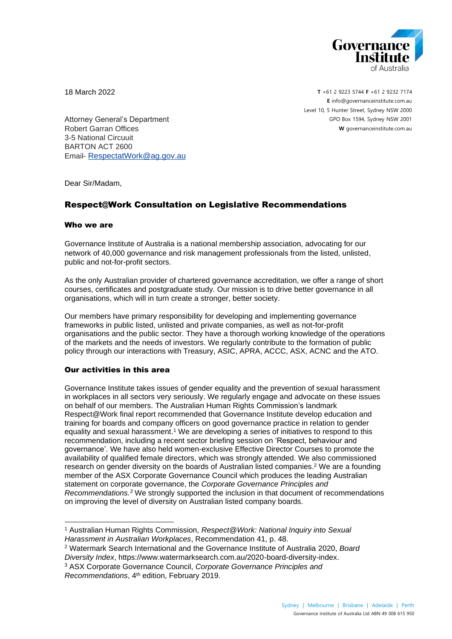

18 March 2022

**T** +61 2 9223 5744 **F** +61 2 9232 7174 **E** [info@governanceinstitute.com.au](mailto:info@governanceinstitute.com.au) Level 10, 5 Hunter Street, Sydney NSW 2000 GPO Box 1594, Sydney NSW 2001 **W** governanceinstitute.com.au

Attorney General's Department Robert Garran Offices 3-5 National Circuuit BARTON ACT 2600 Email- [RespectatWork@ag.gov.au](mailto:RespectatWork@ag.gov.au)

Dear Sir/Madam,

## Respect@Work Consultation on Legislative Recommendations

## Who we are

Governance Institute of Australia is a national membership association, advocating for our network of 40,000 governance and risk management professionals from the listed, unlisted, public and not-for-profit sectors.

As the only Australian provider of chartered governance accreditation, we offer a range of short courses, certificates and postgraduate study. Our mission is to drive better governance in all organisations, which will in turn create a stronger, better society.

Our members have primary responsibility for developing and implementing governance frameworks in public listed, unlisted and private companies, as well as not-for-profit organisations and the public sector. They have a thorough working knowledge of the operations of the markets and the needs of investors. We regularly contribute to the formation of public policy through our interactions with Treasury, ASIC, APRA, ACCC, ASX, ACNC and the ATO.

## Our activities in this area

Governance Institute takes issues of gender equality and the prevention of sexual harassment in workplaces in all sectors very seriously. We regularly engage and advocate on these issues on behalf of our members. The Australian Human Rights Commission's landmark Respect@Work final report recommended that Governance Institute develop education and training for boards and company officers on good governance practice in relation to gender equality and sexual harassment. <sup>1</sup> We are developing a series of initiatives to respond to this recommendation, including a recent sector briefing session on 'Respect, behaviour and governance'. We have also held women-exclusive Effective Director Courses to promote the availability of qualified female directors, which was strongly attended. We also commissioned research on gender diversity on the boards of Australian listed companies.<sup>2</sup> We are a founding member of the ASX Corporate Governance Council which produces the leading Australian statement on corporate governance, the *Corporate Governance Principles and Recommendations. <sup>3</sup>* We strongly supported the inclusion in that document of recommendations on improving the level of diversity on Australian listed company boards.

<sup>1</sup> Australian Human Rights Commission, *Respect@Work: National Inquiry into Sexual Harassment in Australian Workplaces*, Recommendation 41, p. 48.

<sup>2</sup> Watermark Search International and the Governance Institute of Australia 2020, *Board Diversity Index*, https://www.watermarksearch.com.au/2020-board-diversity-index.

<sup>3</sup> ASX Corporate Governance Council, *Corporate Governance Principles and Recommendations*, 4 th edition, February 2019.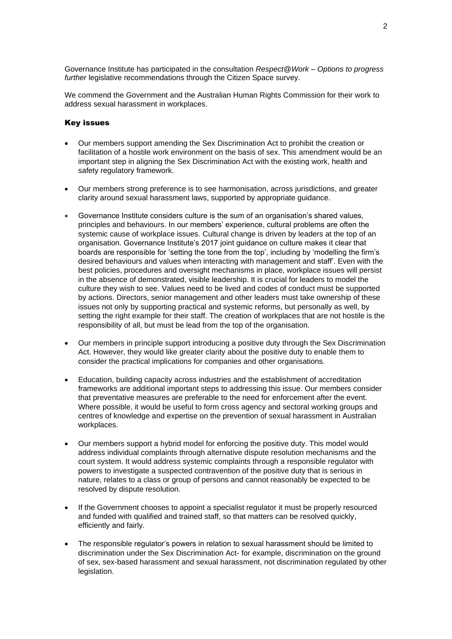Governance Institute has participated in the consultation *Respect@Work – Options to progress*  further legislative recommendations through the Citizen Space survey.

We commend the Government and the Australian Human Rights Commission for their work to address sexual harassment in workplaces.

## Key issues

- Our members support amending the Sex Discrimination Act to prohibit the creation or facilitation of a hostile work environment on the basis of sex. This amendment would be an important step in aligning the Sex Discrimination Act with the existing work, health and safety regulatory framework.
- Our members strong preference is to see harmonisation, across jurisdictions, and greater clarity around sexual harassment laws, supported by appropriate guidance.
- Governance Institute considers culture is the sum of an organisation's shared values, principles and behaviours. In our members' experience, cultural problems are often the systemic cause of workplace issues. Cultural change is driven by leaders at the top of an organisation. Governance Institute's 2017 joint guidance on culture makes it clear that boards are responsible for 'setting the tone from the top', including by 'modelling the firm's desired behaviours and values when interacting with management and staff'. Even with the best policies, procedures and oversight mechanisms in place, workplace issues will persist in the absence of demonstrated, visible leadership. It is crucial for leaders to model the culture they wish to see. Values need to be lived and codes of conduct must be supported by actions. Directors, senior management and other leaders must take ownership of these issues not only by supporting practical and systemic reforms, but personally as well, by setting the right example for their staff. The creation of workplaces that are not hostile is the responsibility of all, but must be lead from the top of the organisation.
- Our members in principle support introducing a positive duty through the Sex Discrimination Act. However, they would like greater clarity about the positive duty to enable them to consider the practical implications for companies and other organisations.
- Education, building capacity across industries and the establishment of accreditation frameworks are additional important steps to addressing this issue. Our members consider that preventative measures are preferable to the need for enforcement after the event. Where possible, it would be useful to form cross agency and sectoral working groups and centres of knowledge and expertise on the prevention of sexual harassment in Australian workplaces.
- Our members support a hybrid model for enforcing the positive duty. This model would address individual complaints through alternative dispute resolution mechanisms and the court system. It would address systemic complaints through a responsible regulator with powers to investigate a suspected contravention of the positive duty that is serious in nature, relates to a class or group of persons and cannot reasonably be expected to be resolved by dispute resolution.
- If the Government chooses to appoint a specialist regulator it must be properly resourced and funded with qualified and trained staff, so that matters can be resolved quickly, efficiently and fairly.
- The responsible regulator's powers in relation to sexual harassment should be limited to discrimination under the Sex Discrimination Act- for example, discrimination on the ground of sex, sex-based harassment and sexual harassment, not discrimination regulated by other legislation.